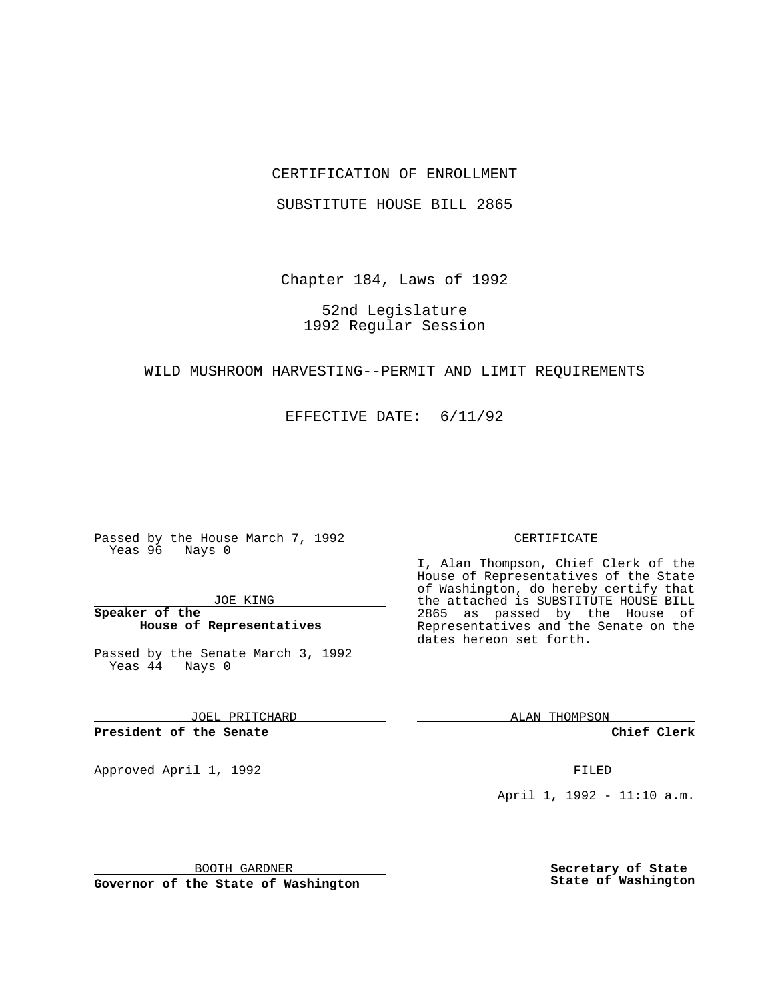### CERTIFICATION OF ENROLLMENT

SUBSTITUTE HOUSE BILL 2865

Chapter 184, Laws of 1992

52nd Legislature 1992 Regular Session

#### WILD MUSHROOM HARVESTING--PERMIT AND LIMIT REQUIREMENTS

EFFECTIVE DATE: 6/11/92

Passed by the House March 7, 1992 Yeas 96 Nays 0

JOE KING

**Speaker of the House of Representatives**

Passed by the Senate March 3, 1992 Yeas 44 Nays 0

JOEL PRITCHARD

**President of the Senate**

Approved April 1, 1992 **FILED** 

CERTIFICATE

I, Alan Thompson, Chief Clerk of the House of Representatives of the State of Washington, do hereby certify that the attached is SUBSTITUTE HOUSE BILL 2865 as passed by the House of Representatives and the Senate on the dates hereon set forth.

ALAN THOMPSON

**Chief Clerk**

April 1, 1992 - 11:10 a.m.

BOOTH GARDNER

**Governor of the State of Washington**

**Secretary of State State of Washington**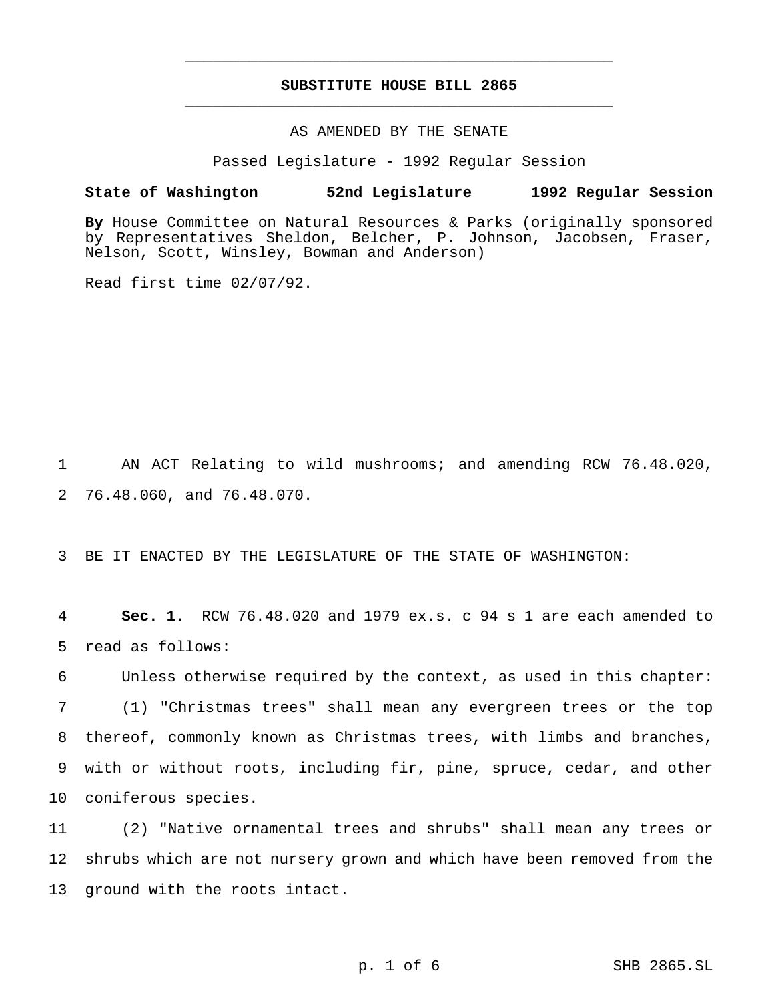# **SUBSTITUTE HOUSE BILL 2865** \_\_\_\_\_\_\_\_\_\_\_\_\_\_\_\_\_\_\_\_\_\_\_\_\_\_\_\_\_\_\_\_\_\_\_\_\_\_\_\_\_\_\_\_\_\_\_

\_\_\_\_\_\_\_\_\_\_\_\_\_\_\_\_\_\_\_\_\_\_\_\_\_\_\_\_\_\_\_\_\_\_\_\_\_\_\_\_\_\_\_\_\_\_\_

# AS AMENDED BY THE SENATE

Passed Legislature - 1992 Regular Session

#### **State of Washington 52nd Legislature 1992 Regular Session**

**By** House Committee on Natural Resources & Parks (originally sponsored by Representatives Sheldon, Belcher, P. Johnson, Jacobsen, Fraser, Nelson, Scott, Winsley, Bowman and Anderson)

Read first time 02/07/92.

1 AN ACT Relating to wild mushrooms; and amending RCW 76.48.020, 2 76.48.060, and 76.48.070.

3 BE IT ENACTED BY THE LEGISLATURE OF THE STATE OF WASHINGTON:

4 **Sec. 1.** RCW 76.48.020 and 1979 ex.s. c 94 s 1 are each amended to 5 read as follows:

 Unless otherwise required by the context, as used in this chapter: (1) "Christmas trees" shall mean any evergreen trees or the top thereof, commonly known as Christmas trees, with limbs and branches, with or without roots, including fir, pine, spruce, cedar, and other coniferous species.

11 (2) "Native ornamental trees and shrubs" shall mean any trees or 12 shrubs which are not nursery grown and which have been removed from the 13 ground with the roots intact.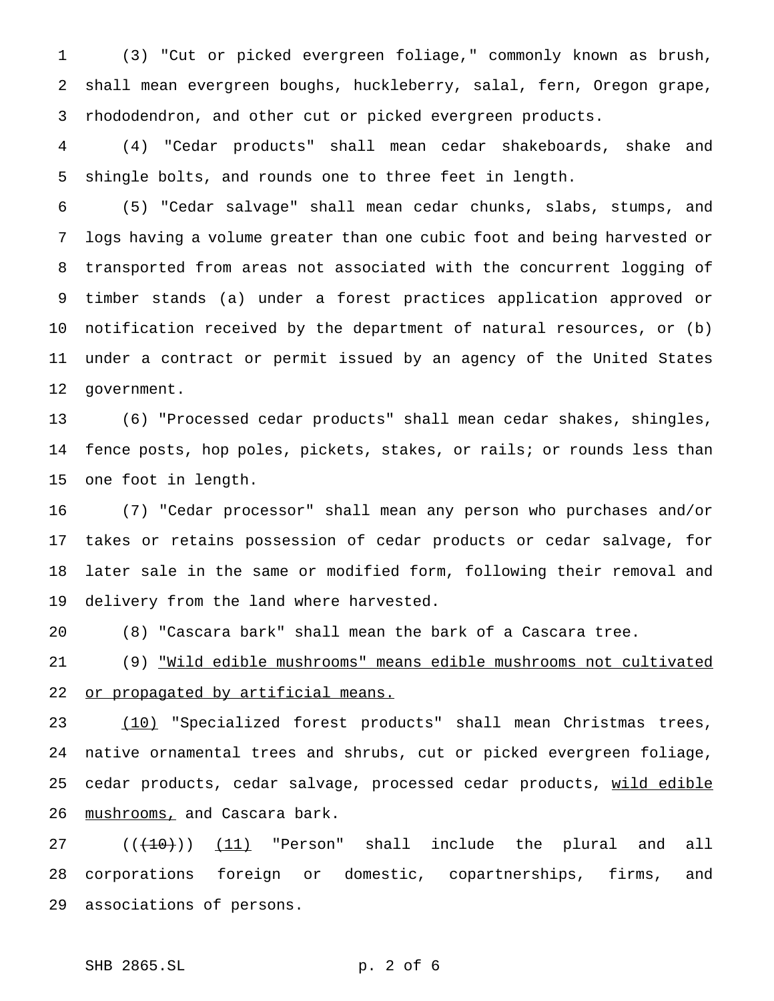(3) "Cut or picked evergreen foliage," commonly known as brush, shall mean evergreen boughs, huckleberry, salal, fern, Oregon grape, rhododendron, and other cut or picked evergreen products.

 (4) "Cedar products" shall mean cedar shakeboards, shake and shingle bolts, and rounds one to three feet in length.

 (5) "Cedar salvage" shall mean cedar chunks, slabs, stumps, and logs having a volume greater than one cubic foot and being harvested or transported from areas not associated with the concurrent logging of timber stands (a) under a forest practices application approved or notification received by the department of natural resources, or (b) under a contract or permit issued by an agency of the United States government.

 (6) "Processed cedar products" shall mean cedar shakes, shingles, fence posts, hop poles, pickets, stakes, or rails; or rounds less than one foot in length.

 (7) "Cedar processor" shall mean any person who purchases and/or takes or retains possession of cedar products or cedar salvage, for later sale in the same or modified form, following their removal and delivery from the land where harvested.

(8) "Cascara bark" shall mean the bark of a Cascara tree.

 (9) "Wild edible mushrooms" means edible mushrooms not cultivated 22 or propagated by artificial means.

 (10) "Specialized forest products" shall mean Christmas trees, native ornamental trees and shrubs, cut or picked evergreen foliage, 25 cedar products, cedar salvage, processed cedar products, wild edible 26 mushrooms, and Cascara bark.

 $((+10))$   $(11)$  "Person" shall include the plural and all corporations foreign or domestic, copartnerships, firms, and associations of persons.

## SHB 2865.SL p. 2 of 6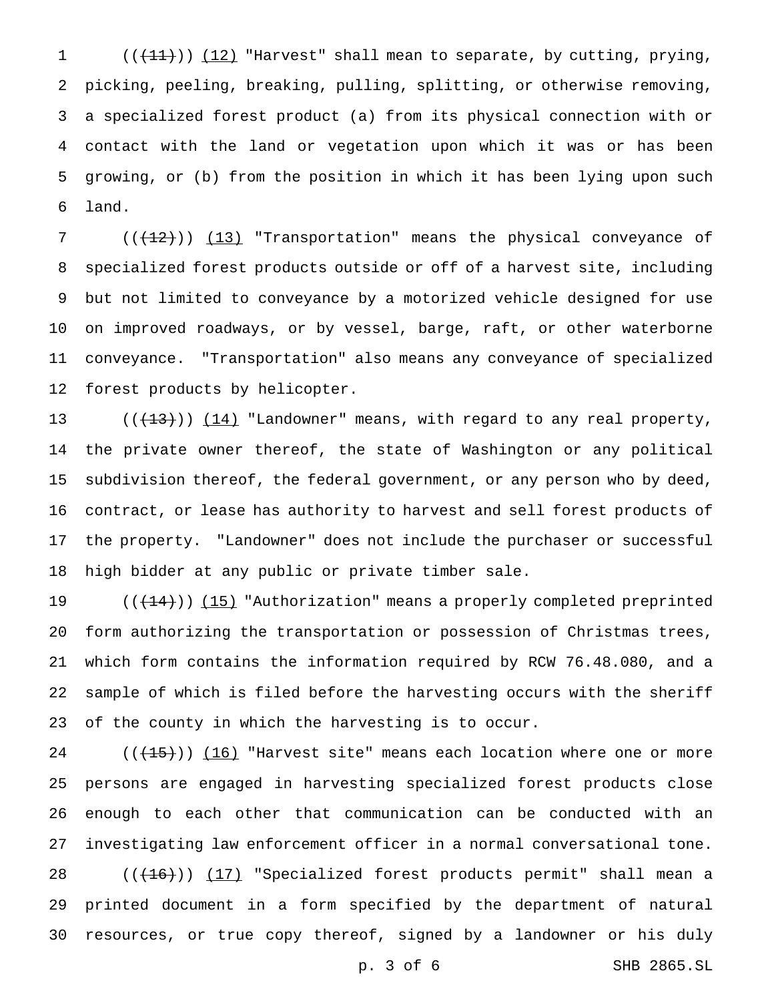$((+11))$   $(12)$  "Harvest" shall mean to separate, by cutting, prying, picking, peeling, breaking, pulling, splitting, or otherwise removing, a specialized forest product (a) from its physical connection with or contact with the land or vegetation upon which it was or has been growing, or (b) from the position in which it has been lying upon such land.

7 (( $(12)$ )) (13) "Transportation" means the physical conveyance of specialized forest products outside or off of a harvest site, including but not limited to conveyance by a motorized vehicle designed for use on improved roadways, or by vessel, barge, raft, or other waterborne conveyance. "Transportation" also means any conveyance of specialized forest products by helicopter.

 $((+13))$   $(14)$  "Landowner" means, with regard to any real property, the private owner thereof, the state of Washington or any political subdivision thereof, the federal government, or any person who by deed, contract, or lease has authority to harvest and sell forest products of the property. "Landowner" does not include the purchaser or successful high bidder at any public or private timber sale.

19 ((<del>(14)</del>)) <u>(15)</u> "Authorization" means a properly completed preprinted form authorizing the transportation or possession of Christmas trees, which form contains the information required by RCW 76.48.080, and a sample of which is filed before the harvesting occurs with the sheriff of the county in which the harvesting is to occur.

 $((+15))$   $(16)$  "Harvest site" means each location where one or more persons are engaged in harvesting specialized forest products close enough to each other that communication can be conducted with an investigating law enforcement officer in a normal conversational tone.  $((+16))$   $(17)$  "Specialized forest products permit" shall mean a printed document in a form specified by the department of natural resources, or true copy thereof, signed by a landowner or his duly

p. 3 of 6 SHB 2865.SL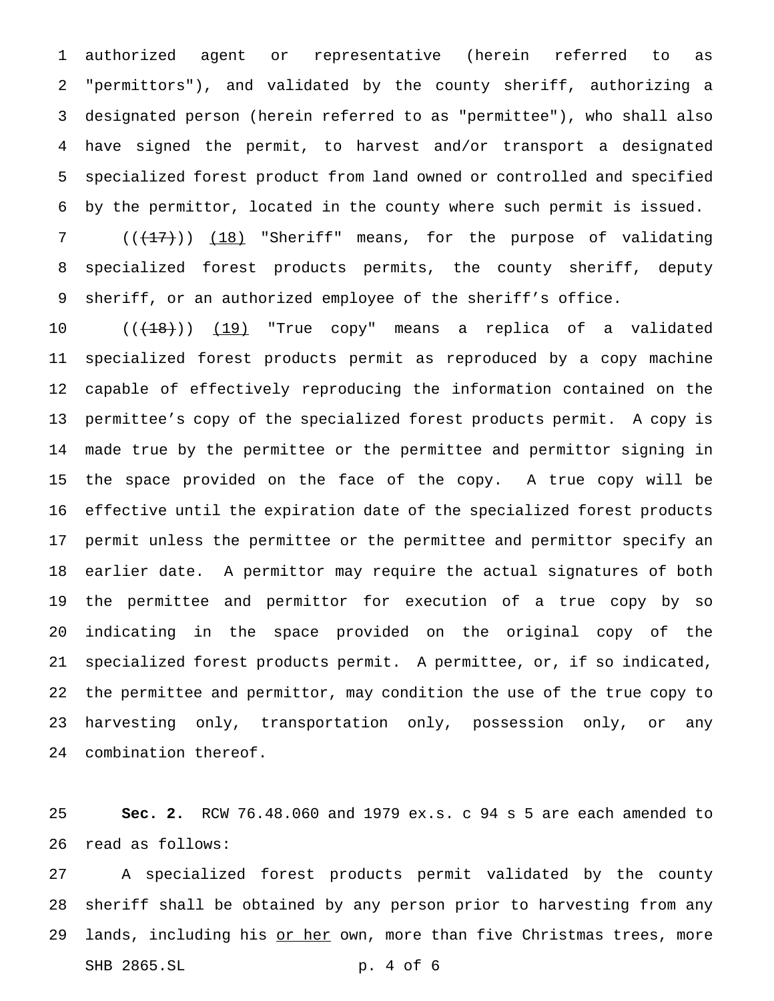authorized agent or representative (herein referred to as "permittors"), and validated by the county sheriff, authorizing a designated person (herein referred to as "permittee"), who shall also have signed the permit, to harvest and/or transport a designated specialized forest product from land owned or controlled and specified by the permittor, located in the county where such permit is issued.

7 (( $(17)$ )) (18) "Sheriff" means, for the purpose of validating specialized forest products permits, the county sheriff, deputy sheriff, or an authorized employee of the sheriff's office.

10 ((<del>(18)</del>)) (19) "True copy" means a replica of a validated specialized forest products permit as reproduced by a copy machine capable of effectively reproducing the information contained on the permittee's copy of the specialized forest products permit. A copy is made true by the permittee or the permittee and permittor signing in the space provided on the face of the copy. A true copy will be effective until the expiration date of the specialized forest products permit unless the permittee or the permittee and permittor specify an earlier date. A permittor may require the actual signatures of both the permittee and permittor for execution of a true copy by so indicating in the space provided on the original copy of the specialized forest products permit. A permittee, or, if so indicated, the permittee and permittor, may condition the use of the true copy to harvesting only, transportation only, possession only, or any combination thereof.

 **Sec. 2.** RCW 76.48.060 and 1979 ex.s. c 94 s 5 are each amended to read as follows:

 A specialized forest products permit validated by the county sheriff shall be obtained by any person prior to harvesting from any 29 lands, including his or her own, more than five Christmas trees, more SHB 2865.SL p. 4 of 6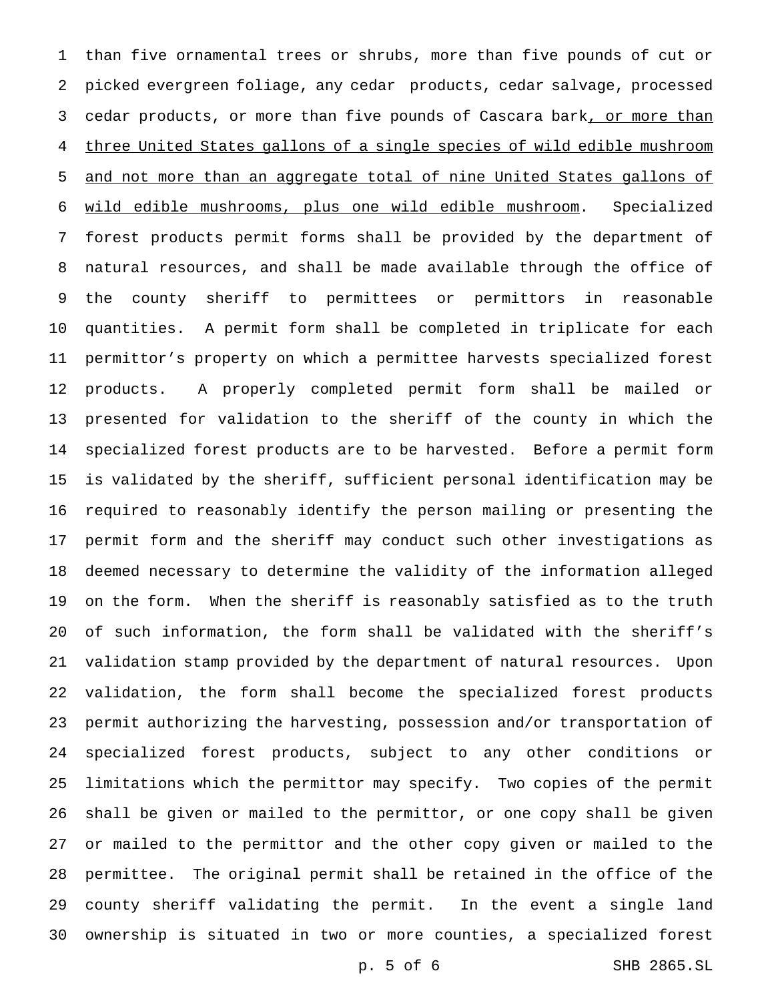than five ornamental trees or shrubs, more than five pounds of cut or picked evergreen foliage, any cedar products, cedar salvage, processed 3 cedar products, or more than five pounds of Cascara bark, or more than three United States gallons of a single species of wild edible mushroom and not more than an aggregate total of nine United States gallons of wild edible mushrooms, plus one wild edible mushroom. Specialized forest products permit forms shall be provided by the department of natural resources, and shall be made available through the office of the county sheriff to permittees or permittors in reasonable quantities. A permit form shall be completed in triplicate for each permittor's property on which a permittee harvests specialized forest products. A properly completed permit form shall be mailed or presented for validation to the sheriff of the county in which the specialized forest products are to be harvested. Before a permit form is validated by the sheriff, sufficient personal identification may be required to reasonably identify the person mailing or presenting the permit form and the sheriff may conduct such other investigations as deemed necessary to determine the validity of the information alleged on the form. When the sheriff is reasonably satisfied as to the truth of such information, the form shall be validated with the sheriff's validation stamp provided by the department of natural resources. Upon validation, the form shall become the specialized forest products permit authorizing the harvesting, possession and/or transportation of specialized forest products, subject to any other conditions or limitations which the permittor may specify. Two copies of the permit shall be given or mailed to the permittor, or one copy shall be given or mailed to the permittor and the other copy given or mailed to the permittee. The original permit shall be retained in the office of the county sheriff validating the permit. In the event a single land ownership is situated in two or more counties, a specialized forest